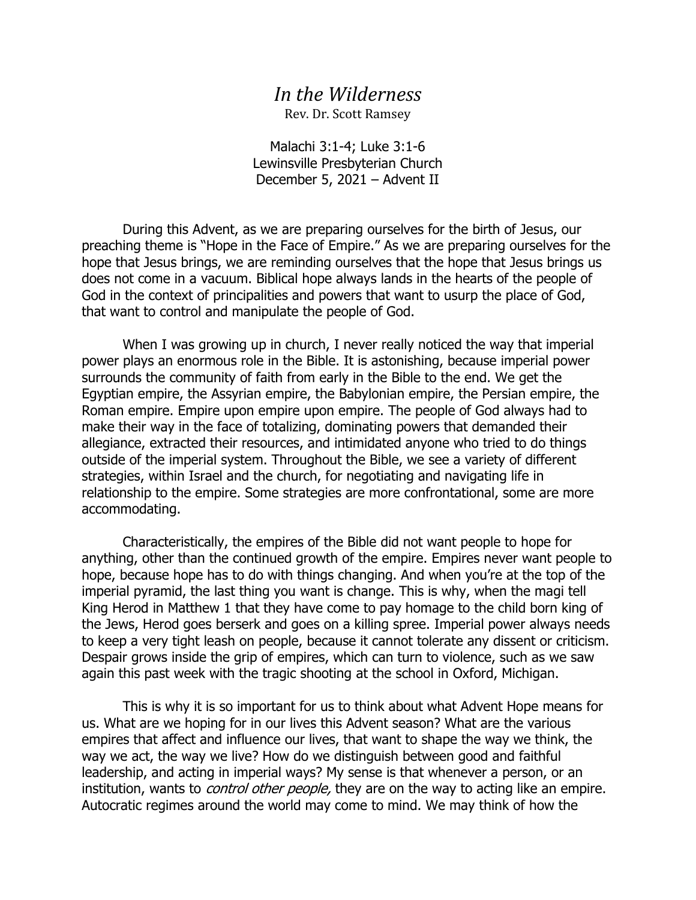## *In the Wilderness*

Rev. Dr. Scott Ramsey

Malachi 3:1-4; Luke 3:1-6 Lewinsville Presbyterian Church December 5, 2021 – Advent II

During this Advent, as we are preparing ourselves for the birth of Jesus, our preaching theme is "Hope in the Face of Empire." As we are preparing ourselves for the hope that Jesus brings, we are reminding ourselves that the hope that Jesus brings us does not come in a vacuum. Biblical hope always lands in the hearts of the people of God in the context of principalities and powers that want to usurp the place of God, that want to control and manipulate the people of God.

When I was growing up in church, I never really noticed the way that imperial power plays an enormous role in the Bible. It is astonishing, because imperial power surrounds the community of faith from early in the Bible to the end. We get the Egyptian empire, the Assyrian empire, the Babylonian empire, the Persian empire, the Roman empire. Empire upon empire upon empire. The people of God always had to make their way in the face of totalizing, dominating powers that demanded their allegiance, extracted their resources, and intimidated anyone who tried to do things outside of the imperial system. Throughout the Bible, we see a variety of different strategies, within Israel and the church, for negotiating and navigating life in relationship to the empire. Some strategies are more confrontational, some are more accommodating.

Characteristically, the empires of the Bible did not want people to hope for anything, other than the continued growth of the empire. Empires never want people to hope, because hope has to do with things changing. And when you're at the top of the imperial pyramid, the last thing you want is change. This is why, when the magi tell King Herod in Matthew 1 that they have come to pay homage to the child born king of the Jews, Herod goes berserk and goes on a killing spree. Imperial power always needs to keep a very tight leash on people, because it cannot tolerate any dissent or criticism. Despair grows inside the grip of empires, which can turn to violence, such as we saw again this past week with the tragic shooting at the school in Oxford, Michigan.

This is why it is so important for us to think about what Advent Hope means for us. What are we hoping for in our lives this Advent season? What are the various empires that affect and influence our lives, that want to shape the way we think, the way we act, the way we live? How do we distinguish between good and faithful leadership, and acting in imperial ways? My sense is that whenever a person, or an institution, wants to *control other people*, they are on the way to acting like an empire. Autocratic regimes around the world may come to mind. We may think of how the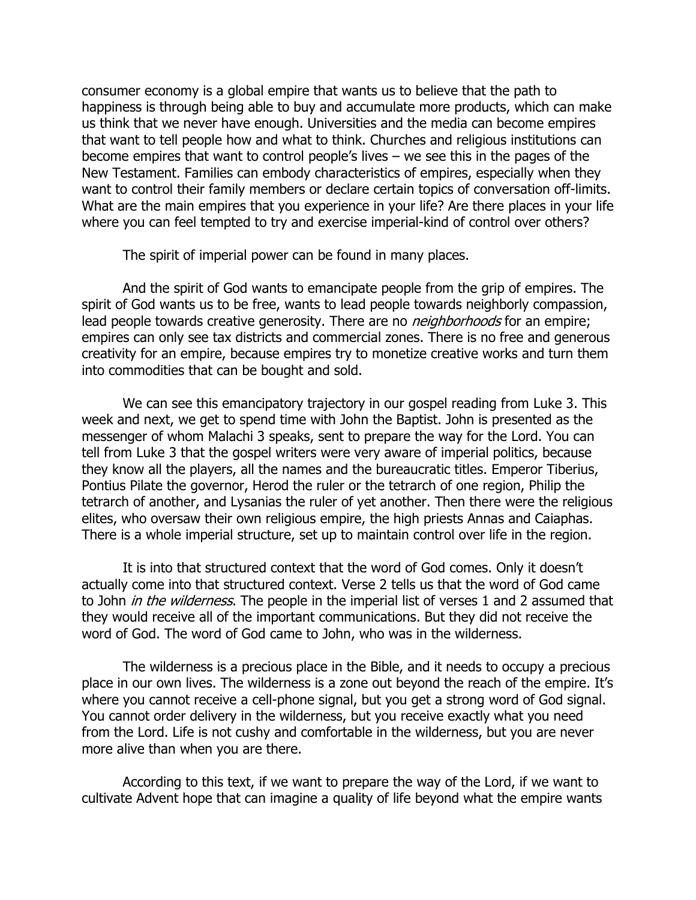consumer economy is a global empire that wants us to believe that the path to happiness is through being able to buy and accumulate more products, which can make us think that we never have enough. Universities and the media can become empires that want to tell people how and what to think. Churches and religious institutions can become empires that want to control people's lives – we see this in the pages of the New Testament. Families can embody characteristics of empires, especially when they want to control their family members or declare certain topics of conversation off-limits. What are the main empires that you experience in your life? Are there places in your life where you can feel tempted to try and exercise imperial-kind of control over others?

The spirit of imperial power can be found in many places.

And the spirit of God wants to emancipate people from the grip of empires. The spirit of God wants us to be free, wants to lead people towards neighborly compassion, lead people towards creative generosity. There are no *neighborhoods* for an empire; empires can only see tax districts and commercial zones. There is no free and generous creativity for an empire, because empires try to monetize creative works and turn them into commodities that can be bought and sold.

We can see this emancipatory trajectory in our gospel reading from Luke 3. This week and next, we get to spend time with John the Baptist. John is presented as the messenger of whom Malachi 3 speaks, sent to prepare the way for the Lord. You can tell from Luke 3 that the gospel writers were very aware of imperial politics, because they know all the players, all the names and the bureaucratic titles. Emperor Tiberius, Pontius Pilate the governor, Herod the ruler or the tetrarch of one region, Philip the tetrarch of another, and Lysanias the ruler of yet another. Then there were the religious elites, who oversaw their own religious empire, the high priests Annas and Caiaphas. There is a whole imperial structure, set up to maintain control over life in the region.

It is into that structured context that the word of God comes. Only it doesn't actually come into that structured context. Verse 2 tells us that the word of God came to John *in the wilderness*. The people in the imperial list of verses 1 and 2 assumed that they would receive all of the important communications. But they did not receive the word of God. The word of God came to John, who was in the wilderness.

The wilderness is a precious place in the Bible, and it needs to occupy a precious place in our own lives. The wilderness is a zone out beyond the reach of the empire. It's where you cannot receive a cell-phone signal, but you get a strong word of God signal. You cannot order delivery in the wilderness, but you receive exactly what you need from the Lord. Life is not cushy and comfortable in the wilderness, but you are never more alive than when you are there.

According to this text, if we want to prepare the way of the Lord, if we want to cultivate Advent hope that can imagine a quality of life beyond what the empire wants